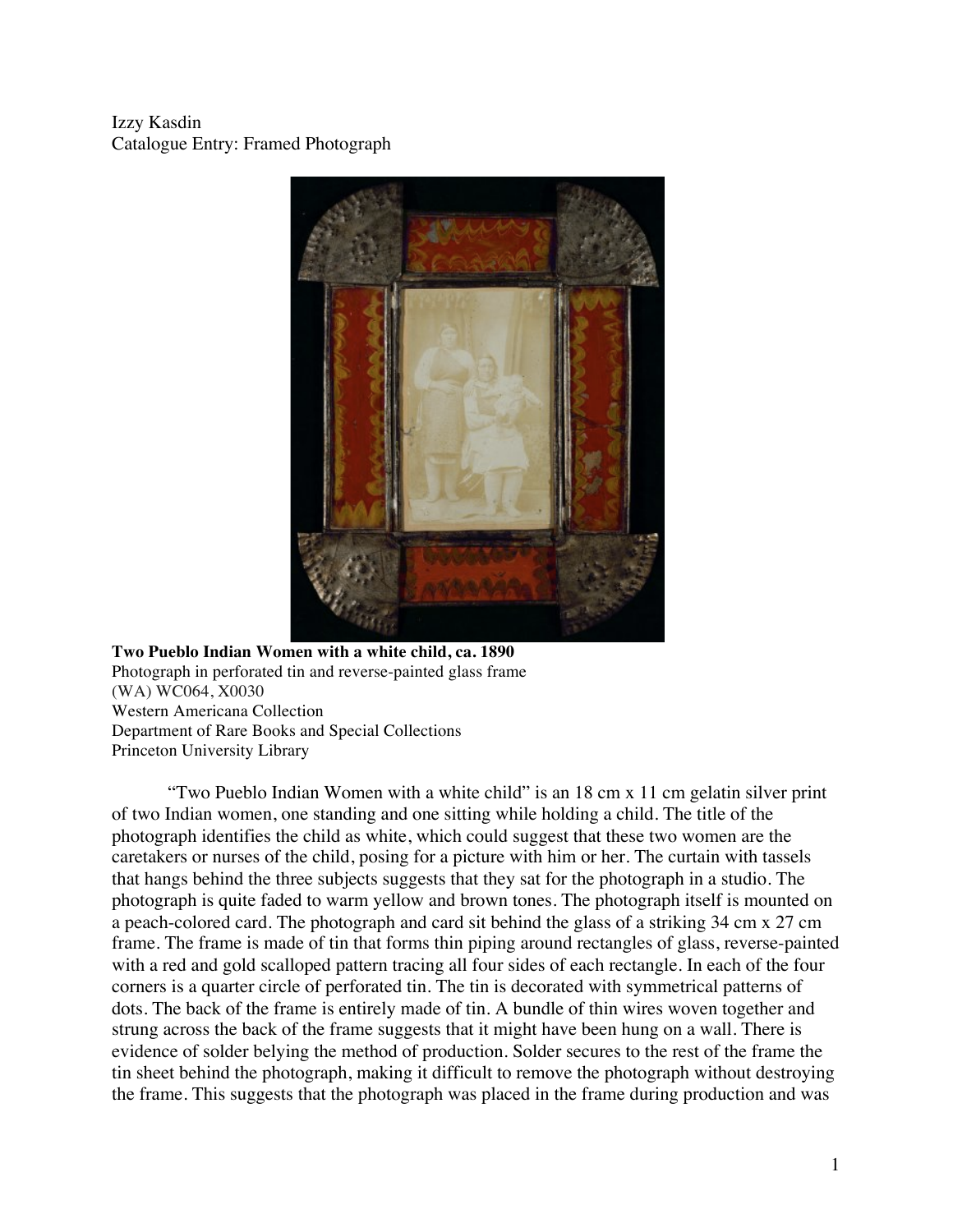Izzy Kasdin Catalogue Entry: Framed Photograph



# **Two Pueblo Indian Women with a white child, ca. 1890** Photograph in perforated tin and reverse-painted glass frame (WA) WC064, X0030 Western Americana Collection Department of Rare Books and Special Collections Princeton University Library

"Two Pueblo Indian Women with a white child" is an 18 cm x 11 cm gelatin silver print of two Indian women, one standing and one sitting while holding a child. The title of the photograph identifies the child as white, which could suggest that these two women are the caretakers or nurses of the child, posing for a picture with him or her. The curtain with tassels that hangs behind the three subjects suggests that they sat for the photograph in a studio. The photograph is quite faded to warm yellow and brown tones. The photograph itself is mounted on a peach-colored card. The photograph and card sit behind the glass of a striking 34 cm x 27 cm frame. The frame is made of tin that forms thin piping around rectangles of glass, reverse-painted with a red and gold scalloped pattern tracing all four sides of each rectangle. In each of the four corners is a quarter circle of perforated tin. The tin is decorated with symmetrical patterns of dots. The back of the frame is entirely made of tin. A bundle of thin wires woven together and strung across the back of the frame suggests that it might have been hung on a wall. There is evidence of solder belying the method of production. Solder secures to the rest of the frame the tin sheet behind the photograph, making it difficult to remove the photograph without destroying the frame. This suggests that the photograph was placed in the frame during production and was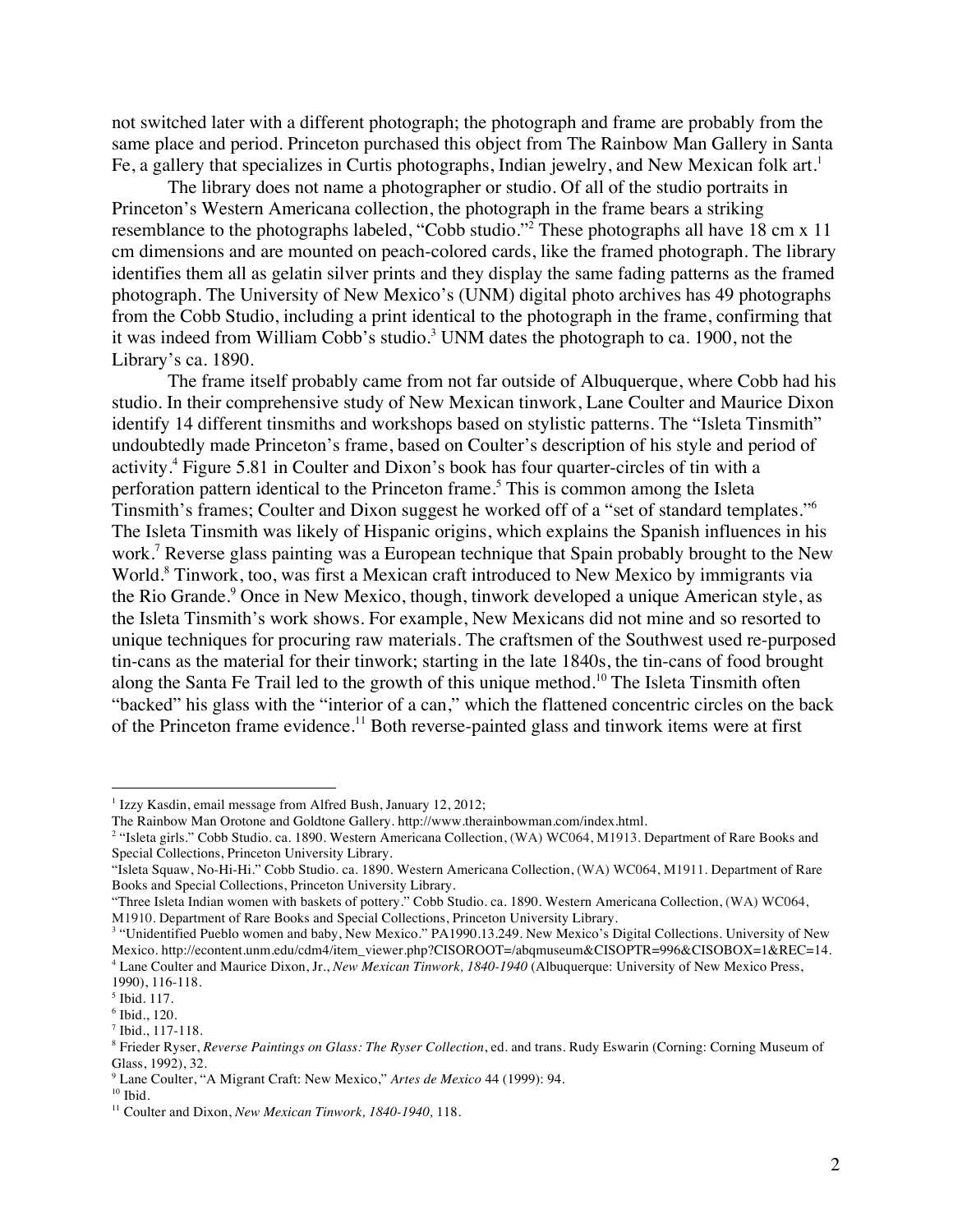not switched later with a different photograph; the photograph and frame are probably from the same place and period. Princeton purchased this object from The Rainbow Man Gallery in Santa Fe, a gallery that specializes in Curtis photographs, Indian jewelry, and New Mexican folk art.<sup>1</sup>

The library does not name a photographer or studio. Of all of the studio portraits in Princeton's Western Americana collection, the photograph in the frame bears a striking resemblance to the photographs labeled, "Cobb studio."<sup>2</sup> These photographs all have 18 cm x 11 cm dimensions and are mounted on peach-colored cards, like the framed photograph. The library identifies them all as gelatin silver prints and they display the same fading patterns as the framed photograph. The University of New Mexico's (UNM) digital photo archives has 49 photographs from the Cobb Studio, including a print identical to the photograph in the frame, confirming that it was indeed from William Cobb's studio.<sup>3</sup> UNM dates the photograph to ca. 1900, not the Library's ca. 1890.

The frame itself probably came from not far outside of Albuquerque, where Cobb had his studio. In their comprehensive study of New Mexican tinwork, Lane Coulter and Maurice Dixon identify 14 different tinsmiths and workshops based on stylistic patterns. The "Isleta Tinsmith" undoubtedly made Princeton's frame, based on Coulter's description of his style and period of activity. <sup>4</sup> Figure 5.81 in Coulter and Dixon's book has four quarter-circles of tin with a perforation pattern identical to the Princeton frame.<sup>5</sup> This is common among the Isleta Tinsmith's frames; Coulter and Dixon suggest he worked off of a "set of standard templates."6 The Isleta Tinsmith was likely of Hispanic origins, which explains the Spanish influences in his work. <sup>7</sup> Reverse glass painting was a European technique that Spain probably brought to the New World. <sup>8</sup> Tinwork, too, was first a Mexican craft introduced to New Mexico by immigrants via the Rio Grande. <sup>9</sup> Once in New Mexico, though, tinwork developed a unique American style, as the Isleta Tinsmith's work shows. For example, New Mexicans did not mine and so resorted to unique techniques for procuring raw materials. The craftsmen of the Southwest used re-purposed tin-cans as the material for their tinwork; starting in the late 1840s, the tin-cans of food brought along the Santa Fe Trail led to the growth of this unique method.<sup>10</sup> The Isleta Tinsmith often "backed" his glass with the "interior of a can," which the flattened concentric circles on the back of the Princeton frame evidence.<sup>11</sup> Both reverse-painted glass and tinwork items were at first

 

<sup>&</sup>lt;sup>1</sup> Izzy Kasdin, email message from Alfred Bush, January 12, 2012;

The Rainbow Man Orotone and Goldtone Gallery. http://www.therainbowman.com/index.html.

<sup>&</sup>lt;sup>2</sup> "Isleta girls." Cobb Studio. ca. 1890. Western Americana Collection, (WA) WC064, M1913. Department of Rare Books and Special Collections, Princeton University Library.

<sup>&</sup>quot;Isleta Squaw, No-Hi-Hi." Cobb Studio. ca. 1890. Western Americana Collection, (WA) WC064, M1911. Department of Rare Books and Special Collections, Princeton University Library.

<sup>&</sup>quot;Three Isleta Indian women with baskets of pottery." Cobb Studio. ca. 1890. Western Americana Collection, (WA) WC064, M1910. Department of Rare Books and Special Collections, Princeton University Library.

<sup>&</sup>lt;sup>3</sup> "Unidentified Pueblo women and baby, New Mexico." PA1990.13.249. New Mexico's Digital Collections. University of New Mexico. http://econtent.unm.edu/cdm4/item\_viewer.php?CISOROOT=/abqmuseum&CISOPTR=996&CISOBOX=1&REC=14. <sup>4</sup> Lane Coulter and Maurice Dixon, Jr., *New Mexican Tinwork, 1840-1940* (Albuquerque: University of New Mexico Press,

<sup>1990), 116-118.</sup>

<sup>5</sup> Ibid. 117.

<sup>6</sup> Ibid., 120.

<sup>7</sup> Ibid., 117-118.

<sup>8</sup> Frieder Ryser, *Reverse Paintings on Glass: The Ryser Collection*, ed. and trans. Rudy Eswarin (Corning: Corning Museum of Glass, 1992), 32.

<sup>9</sup> Lane Coulter, "A Migrant Craft: New Mexico," *Artes de Mexico* 44 (1999): 94.

 $10$  Ibid.

<sup>11</sup> Coulter and Dixon, *New Mexican Tinwork, 1840-1940,* 118.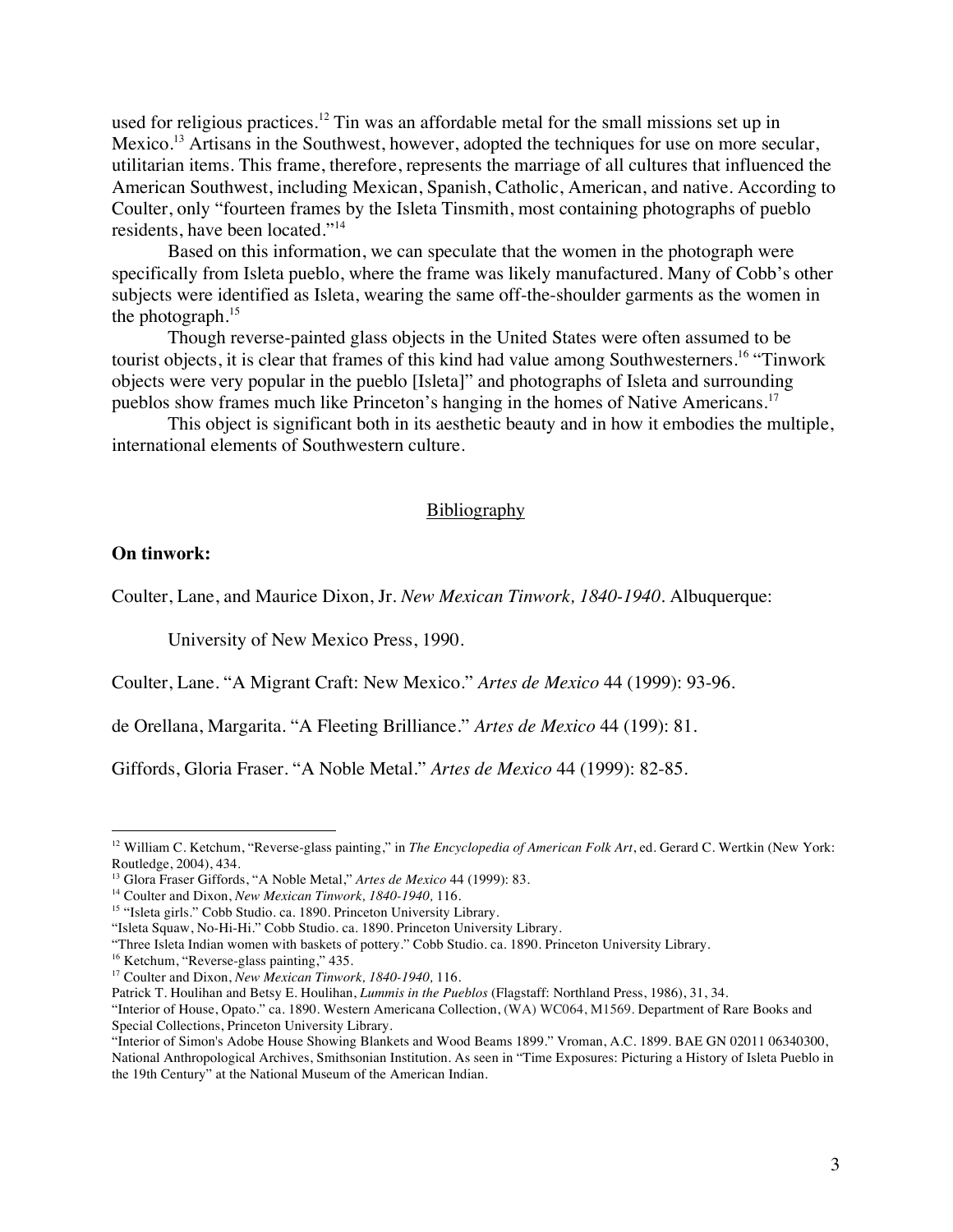used for religious practices.<sup>12</sup> Tin was an affordable metal for the small missions set up in Mexico.<sup>13</sup> Artisans in the Southwest, however, adopted the techniques for use on more secular, utilitarian items. This frame, therefore, represents the marriage of all cultures that influenced the American Southwest, including Mexican, Spanish, Catholic, American, and native. According to Coulter, only "fourteen frames by the Isleta Tinsmith, most containing photographs of pueblo residents, have been located."<sup>14</sup>

Based on this information, we can speculate that the women in the photograph were specifically from Isleta pueblo, where the frame was likely manufactured. Many of Cobb's other subjects were identified as Isleta, wearing the same off-the-shoulder garments as the women in the photograph. 15

Though reverse-painted glass objects in the United States were often assumed to be tourist objects, it is clear that frames of this kind had value among Southwesterners.<sup>16</sup> "Tinwork objects were very popular in the pueblo [Isleta]" and photographs of Isleta and surrounding pueblos show frames much like Princeton's hanging in the homes of Native Americans.<sup>17</sup>

This object is significant both in its aesthetic beauty and in how it embodies the multiple, international elements of Southwestern culture.

### **Bibliography**

## **On tinwork:**

Coulter, Lane, and Maurice Dixon, Jr. *New Mexican Tinwork, 1840-1940.* Albuquerque:

University of New Mexico Press, 1990.

Coulter, Lane. "A Migrant Craft: New Mexico." *Artes de Mexico* 44 (1999): 93-96.

de Orellana, Margarita. "A Fleeting Brilliance." *Artes de Mexico* 44 (199): 81.

Giffords, Gloria Fraser. "A Noble Metal." *Artes de Mexico* 44 (1999): 82-85.

 

<sup>&</sup>lt;sup>12</sup> William C. Ketchum, "Reverse-glass painting," in *The Encyclopedia of American Folk Art*, ed. Gerard C. Wertkin (New York: Routledge, 2004), 434.

<sup>13</sup> Glora Fraser Giffords, "A Noble Metal," *Artes de Mexico* 44 (1999): 83.

<sup>14</sup> Coulter and Dixon, *New Mexican Tinwork, 1840-1940,* 116.

<sup>&</sup>lt;sup>15</sup> "Isleta girls." Cobb Studio. ca. 1890. Princeton University Library.

<sup>&</sup>quot;Isleta Squaw, No-Hi-Hi." Cobb Studio. ca. 1890. Princeton University Library.

<sup>&</sup>quot;Three Isleta Indian women with baskets of pottery." Cobb Studio. ca. 1890. Princeton University Library.

<sup>&</sup>lt;sup>16</sup> Ketchum, "Reverse-glass painting," 435.

<sup>17</sup> Coulter and Dixon, *New Mexican Tinwork, 1840-1940,* 116.

Patrick T. Houlihan and Betsy E. Houlihan, *Lummis in the Pueblos* (Flagstaff: Northland Press, 1986), 31, 34.

<sup>&</sup>quot;Interior of House, Opato." ca. 1890. Western Americana Collection, (WA) WC064, M1569. Department of Rare Books and Special Collections, Princeton University Library.

<sup>&</sup>quot;Interior of Simon's Adobe House Showing Blankets and Wood Beams 1899." Vroman, A.C. 1899. BAE GN 02011 06340300, National Anthropological Archives, Smithsonian Institution. As seen in "Time Exposures: Picturing a History of Isleta Pueblo in the 19th Century" at the National Museum of the American Indian.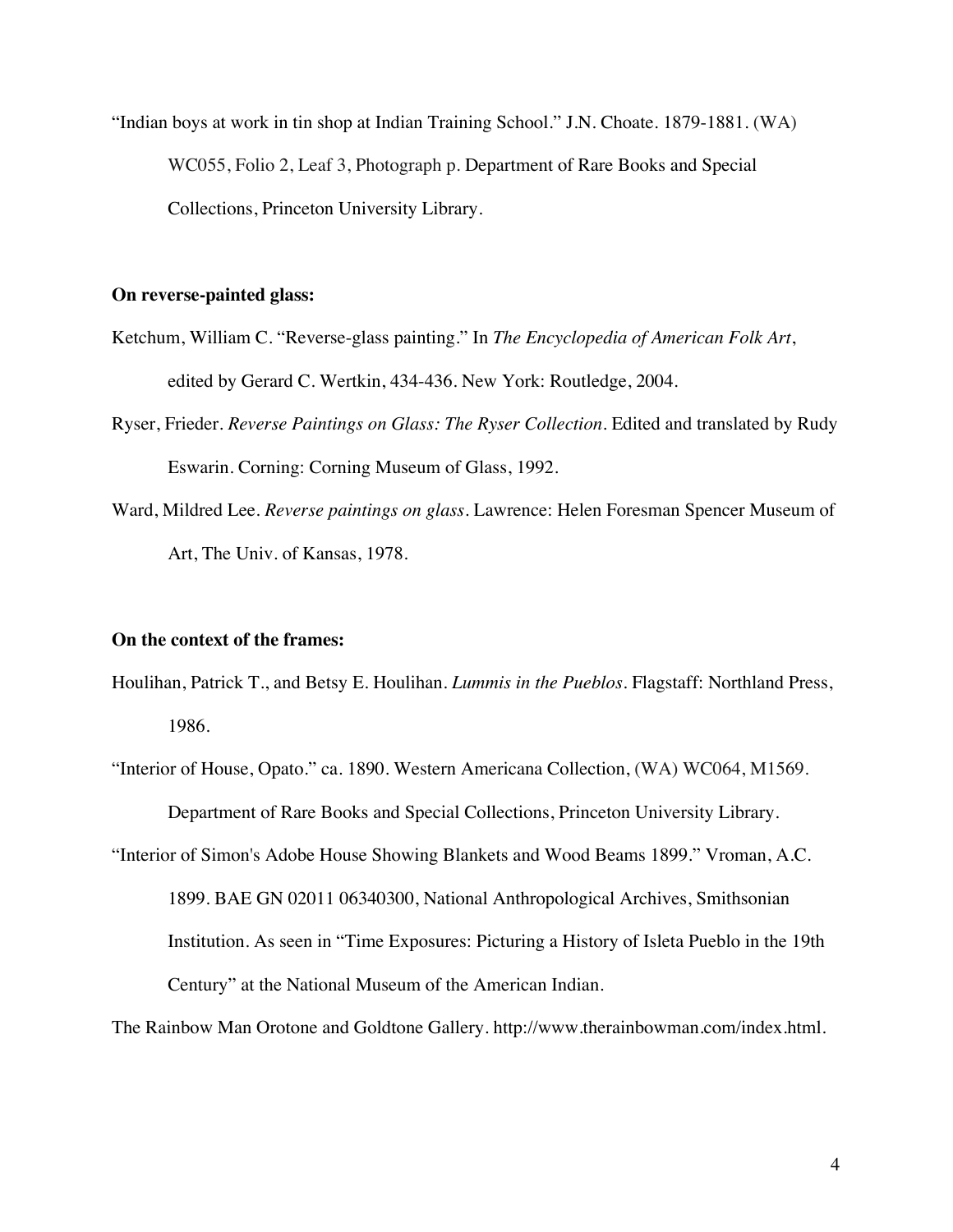"Indian boys at work in tin shop at Indian Training School." J.N. Choate. 1879-1881. (WA) WC055, Folio 2, Leaf 3, Photograph p. Department of Rare Books and Special Collections, Princeton University Library.

#### **On reverse-painted glass:**

- Ketchum, William C. "Reverse-glass painting." In *The Encyclopedia of American Folk Art*, edited by Gerard C. Wertkin, 434-436. New York: Routledge, 2004.
- Ryser, Frieder. *Reverse Paintings on Glass: The Ryser Collection*. Edited and translated by Rudy Eswarin. Corning: Corning Museum of Glass, 1992.
- Ward, Mildred Lee. *Reverse paintings on glass.* Lawrence: Helen Foresman Spencer Museum of Art, The Univ. of Kansas, 1978.

### **On the context of the frames:**

- Houlihan, Patrick T., and Betsy E. Houlihan. *Lummis in the Pueblos*. Flagstaff: Northland Press, 1986.
- "Interior of House, Opato." ca. 1890. Western Americana Collection, (WA) WC064, M1569. Department of Rare Books and Special Collections, Princeton University Library.
- "Interior of Simon's Adobe House Showing Blankets and Wood Beams 1899." Vroman, A.C. 1899. BAE GN 02011 06340300, National Anthropological Archives, Smithsonian Institution. As seen in "Time Exposures: Picturing a History of Isleta Pueblo in the 19th Century" at the National Museum of the American Indian.

The Rainbow Man Orotone and Goldtone Gallery. http://www.therainbowman.com/index.html.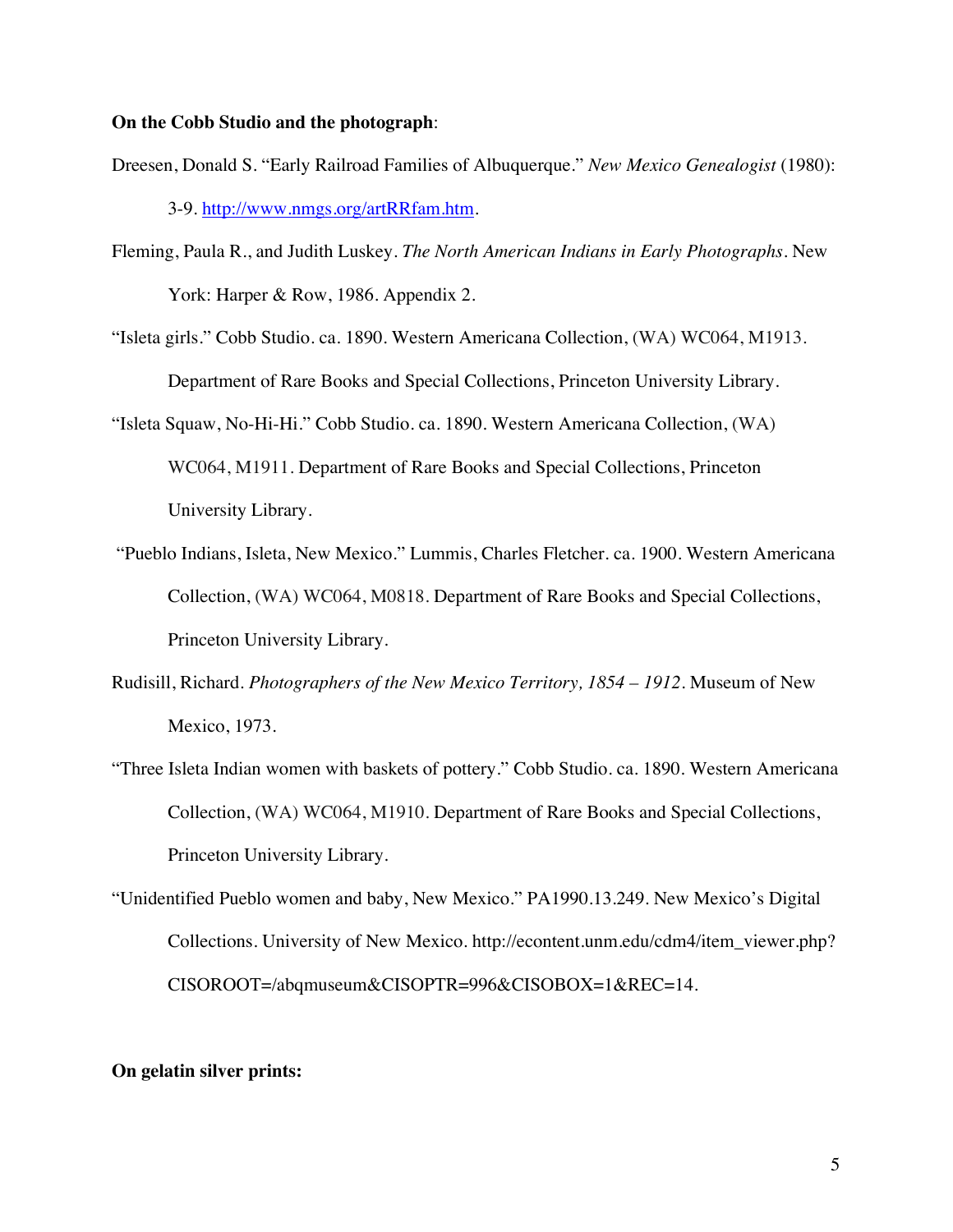## **On the Cobb Studio and the photograph**:

- Dreesen, Donald S. "Early Railroad Families of Albuquerque." *New Mexico Genealogist* (1980): 3-9. http://www.nmgs.org/artRRfam.htm.
- Fleming, Paula R., and Judith Luskey. *The North American Indians in Early Photographs*. New York: Harper & Row, 1986. Appendix 2.
- "Isleta girls." Cobb Studio. ca. 1890. Western Americana Collection, (WA) WC064, M1913. Department of Rare Books and Special Collections, Princeton University Library.
- "Isleta Squaw, No-Hi-Hi." Cobb Studio. ca. 1890. Western Americana Collection, (WA) WC064, M1911. Department of Rare Books and Special Collections, Princeton University Library.
- "Pueblo Indians, Isleta, New Mexico." Lummis, Charles Fletcher. ca. 1900. Western Americana Collection, (WA) WC064, M0818. Department of Rare Books and Special Collections, Princeton University Library.
- Rudisill, Richard. *Photographers of the New Mexico Territory, 1854 – 1912.* Museum of New Mexico, 1973.
- "Three Isleta Indian women with baskets of pottery." Cobb Studio. ca. 1890. Western Americana Collection, (WA) WC064, M1910. Department of Rare Books and Special Collections, Princeton University Library.
- "Unidentified Pueblo women and baby, New Mexico." PA1990.13.249. New Mexico's Digital Collections. University of New Mexico. http://econtent.unm.edu/cdm4/item\_viewer.php? CISOROOT=/abqmuseum&CISOPTR=996&CISOBOX=1&REC=14.

### **On gelatin silver prints:**